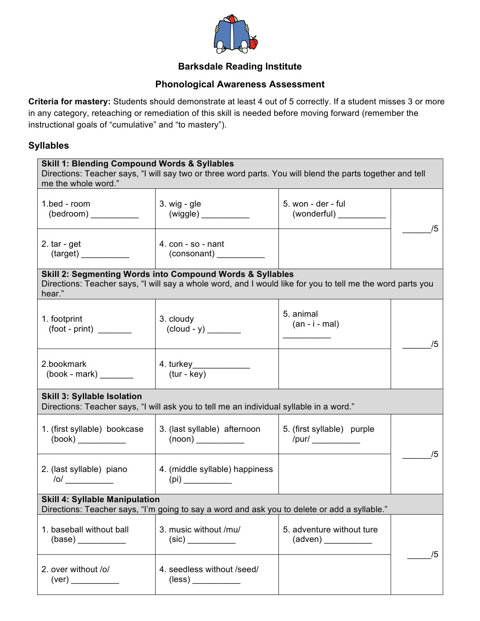

## **Barksdale Reading Institute**

#### **Phonological Awareness Assessment**

**Criteria for mastery:** Students should demonstrate at least 4 out of 5 correctly. If a student misses 3 or more in any category, reteaching or remediation of this skill is needed before moving forward (remember the instructional goals of "cumulative" and "to mastery").

#### **Syllables**

| <b>Skill 1: Blending Compound Words &amp; Syllables</b><br>Directions: Teacher says, "I will say two or three word parts. You will blend the parts together and tell<br>me the whole word." |                                                                                                                                                                         |                                   |    |
|---------------------------------------------------------------------------------------------------------------------------------------------------------------------------------------------|-------------------------------------------------------------------------------------------------------------------------------------------------------------------------|-----------------------------------|----|
| 1.bed - room                                                                                                                                                                                | $3. \text{wig}$ - gle                                                                                                                                                   | 5. won - der - ful<br>(wonderful) | /5 |
| 2. $tar - get$                                                                                                                                                                              | 4. $con - so - nant$                                                                                                                                                    |                                   |    |
| hear."                                                                                                                                                                                      | Skill 2: Segmenting Words into Compound Words & Syllables<br>Directions: Teacher says, "I will say a whole word, and I would like for you to tell me the word parts you |                                   |    |
| 1. footprint<br>$(foot - print)$                                                                                                                                                            | 3. cloudy                                                                                                                                                               | 5. animal<br>$(an - i - mal)$     | /5 |
| 2.bookmark                                                                                                                                                                                  | 4. turkey______________<br>$(tur - key)$                                                                                                                                |                                   |    |
| Skill 3: Syllable Isolation<br>Directions: Teacher says, "I will ask you to tell me an individual syllable in a word."                                                                      |                                                                                                                                                                         |                                   |    |
| 1. (first syllable) bookcase                                                                                                                                                                | 3. (last syllable) afternoon                                                                                                                                            | 5. (first syllable) purple        | /5 |
| 2. (last syllable) piano<br>$\sqrt{0}$                                                                                                                                                      | 4. (middle syllable) happiness<br>(pi)                                                                                                                                  |                                   |    |
| <b>Skill 4: Syllable Manipulation</b><br>Directions: Teacher says, "I'm going to say a word and ask you to delete or add a syllable."                                                       |                                                                                                                                                                         |                                   |    |
| 1. baseball without ball<br>(base)                                                                                                                                                          | 3. music without /mu/                                                                                                                                                   | 5. adventure without ture         | /5 |
| 2. over without /o/                                                                                                                                                                         | 4. seedless without /seed/<br>$(\mathsf{less})$                                                                                                                         |                                   |    |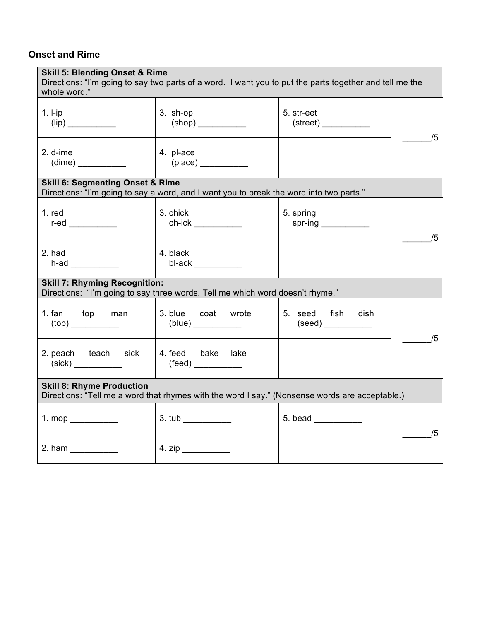### **Onset and Rime**

| <b>Skill 5: Blending Onset &amp; Rime</b><br>Directions: "I'm going to say two parts of a word. I want you to put the parts together and tell me the<br>whole word." |                                                                                         |                                      |    |
|----------------------------------------------------------------------------------------------------------------------------------------------------------------------|-----------------------------------------------------------------------------------------|--------------------------------------|----|
| $1. I-ip$<br>$\left(\mathsf{lip}\right)$                                                                                                                             | $3.$ sh-op<br>$(\mathsf{shop})$                                                         | 5. str-eet<br>$\text{(street)} \_\_$ | /5 |
| 2. d-ime<br>(dime)                                                                                                                                                   | 4. pl-ace<br>(place)                                                                    |                                      |    |
| <b>Skill 6: Segmenting Onset &amp; Rime</b>                                                                                                                          | Directions: "I'm going to say a word, and I want you to break the word into two parts." |                                      |    |
| $1.$ red<br>r-ed $\_\_$                                                                                                                                              | 3. chick                                                                                | 5. spring<br>spr-ing ____________    | /5 |
| 2. had<br>$h$ -ad $\qquad$                                                                                                                                           | 4. black<br>bl-ack                                                                      |                                      |    |
| <b>Skill 7: Rhyming Recognition:</b><br>Directions: "I'm going to say three words. Tell me which word doesn't rhyme."                                                |                                                                                         |                                      |    |
| 1. fan top<br>man                                                                                                                                                    | 3. blue coat wrote<br>(blue) __________                                                 | 5. seed fish<br>dish                 | /5 |
| 2. peach teach sick                                                                                                                                                  | 4. feed bake<br>lake<br>(feed) ___________                                              |                                      |    |
| <b>Skill 8: Rhyme Production</b><br>Directions: "Tell me a word that rhymes with the word I say." (Nonsense words are acceptable.)                                   |                                                                                         |                                      |    |
| 1. mop $\_\_$                                                                                                                                                        | 3. tub                                                                                  | $5.$ bead $\_\_$                     | /5 |
| 2. ham                                                                                                                                                               |                                                                                         |                                      |    |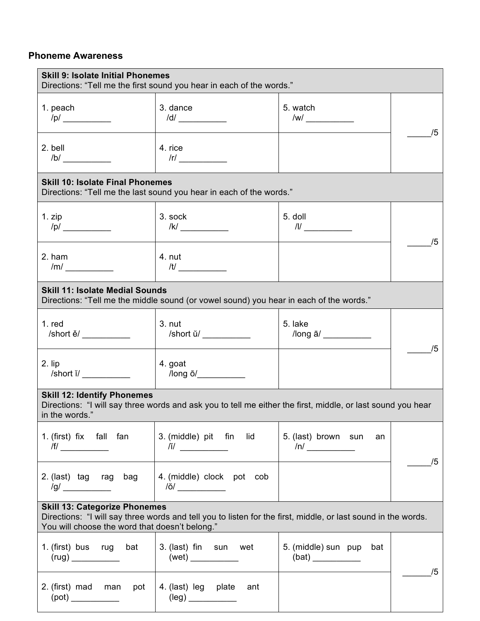### **Phoneme Awareness**

| <b>Skill 9: Isolate Initial Phonemes</b><br>Directions: "Tell me the first sound you hear in each of the words."                                                                                        |                                                                                        |                                               |    |
|---------------------------------------------------------------------------------------------------------------------------------------------------------------------------------------------------------|----------------------------------------------------------------------------------------|-----------------------------------------------|----|
| 1. peach<br>/p/                                                                                                                                                                                         | 3. dance<br>/d/                                                                        | 5. watch<br>$\sqrt{W}$                        | 75 |
| 2. bell<br>/b/                                                                                                                                                                                          | 4. rice<br>$\sqrt{r}$ $\qquad \qquad$                                                  |                                               |    |
| <b>Skill 10: Isolate Final Phonemes</b>                                                                                                                                                                 | Directions: "Tell me the last sound you hear in each of the words."                    |                                               |    |
| 1. zip<br>/p/                                                                                                                                                                                           | 3. sock<br> k                                                                          | 5. doll<br>$\frac{1}{2}$                      | /5 |
| 2. ham<br>/m/                                                                                                                                                                                           | 4. nut<br>/t/                                                                          |                                               |    |
| <b>Skill 11: Isolate Medial Sounds</b>                                                                                                                                                                  | Directions: "Tell me the middle sound (or vowel sound) you hear in each of the words." |                                               |    |
| $1.$ red<br>/short ě/                                                                                                                                                                                   | $3.$ nut<br>/short ŭ/                                                                  | 5. lake<br>$\sqrt{2}$ long $\bar{a}/\sqrt{2}$ | /5 |
| 2. lip<br>$\sqrt{8}$ hort $\frac{1}{2}$ $\sqrt{8}$                                                                                                                                                      | 4. goat<br>$\sqrt{2}$ long $\bar{O}/\sqrt{2}$                                          |                                               |    |
| <b>Skill 12: Identify Phonemes</b><br>Directions: "I will say three words and ask you to tell me either the first, middle, or last sound you hear<br>in the words."                                     |                                                                                        |                                               |    |
| 1. (first) fix fall fan<br>/f/ $\qquad$                                                                                                                                                                 | 3. (middle) pit fin<br>lid<br>$\frac{1}{2}$                                            | 5. (last) brown sun<br>an<br>$\sqrt{n}$       | /5 |
| 2. (last) tag rag bag                                                                                                                                                                                   | 4. (middle) clock pot cob<br>/ŏ/ _____________                                         |                                               |    |
| <b>Skill 13: Categorize Phonemes</b><br>Directions: "I will say three words and tell you to listen for the first, middle, or last sound in the words.<br>You will choose the word that doesn't belong." |                                                                                        |                                               |    |
| 1. (first) bus rug<br>bat                                                                                                                                                                               | 3. (last) fin sun wet                                                                  | 5. (middle) sun pup<br>bat<br>(bat)           | /5 |
| 2. (first) mad<br>man<br>pot                                                                                                                                                                            | 4. (last) leg plate<br>ant                                                             |                                               |    |